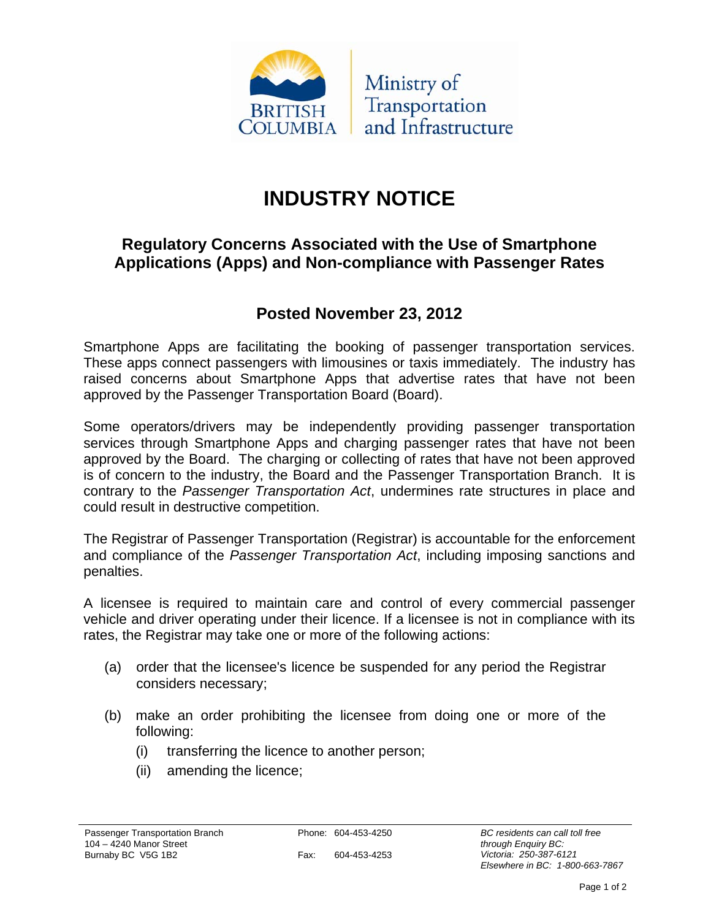

## **INDUSTRY NOTICE**

## **Regulatory Concerns Associated with the Use of Smartphone Applications (Apps) and Non-compliance with Passenger Rates**

## **Posted November 23, 2012**

Smartphone Apps are facilitating the booking of passenger transportation services. These apps connect passengers with limousines or taxis immediately. The industry has raised concerns about Smartphone Apps that advertise rates that have not been approved by the Passenger Transportation Board (Board).

Some operators/drivers may be independently providing passenger transportation services through Smartphone Apps and charging passenger rates that have not been approved by the Board. The charging or collecting of rates that have not been approved is of concern to the industry, the Board and the Passenger Transportation Branch. It is contrary to the *Passenger Transportation Act*, undermines rate structures in place and could result in destructive competition.

The Registrar of Passenger Transportation (Registrar) is accountable for the enforcement and compliance of the *Passenger Transportation Act*, including imposing sanctions and penalties.

A licensee is required to maintain care and control of every commercial passenger vehicle and driver operating under their licence. If a licensee is not in compliance with its rates, the Registrar may take one or more of the following actions:

- (a) order that the licensee's licence be suspended for any period the Registrar considers necessary;
- (b) make an order prohibiting the licensee from doing one or more of the following:
	- (i) transferring the licence to another person;
	- (ii) amending the licence;